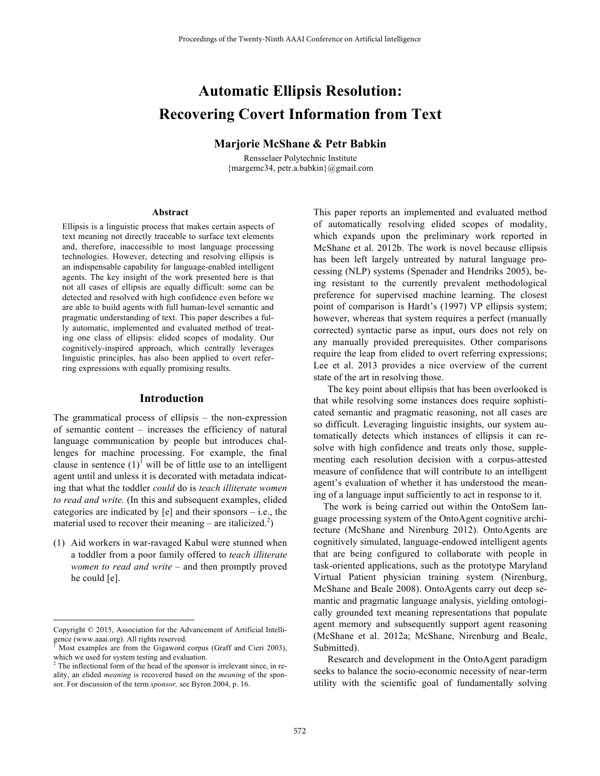# **Automatic Ellipsis Resolution: Recovering Covert Information from Text**

### **Marjorie McShane & Petr Babkin**

Rensselaer Polytechnic Institute {margemc34, petr.a.babkin}@gmail.com

#### **Abstract**

Ellipsis is a linguistic process that makes certain aspects of text meaning not directly traceable to surface text elements and, therefore, inaccessible to most language processing technologies. However, detecting and resolving ellipsis is an indispensable capability for language-enabled intelligent agents. The key insight of the work presented here is that not all cases of ellipsis are equally difficult: some can be detected and resolved with high confidence even before we are able to build agents with full human-level semantic and pragmatic understanding of text. This paper describes a fully automatic, implemented and evaluated method of treating one class of ellipsis: elided scopes of modality. Our cognitively-inspired approach, which centrally leverages linguistic principles, has also been applied to overt referring expressions with equally promising results.

### **Introduction**

The grammatical process of ellipsis – the non-expression of semantic content – increases the efficiency of natural language communication by people but introduces challenges for machine processing. For example, the final clause in sentence  $(1)^{1}$  will be of little use to an intelligent agent until and unless it is decorated with metadata indicating that what the toddler *could* do is *teach illiterate women to read and write.* (In this and subsequent examples, elided categories are indicated by  $[e]$  and their sponsors – i.e., the material used to recover their meaning – are italicized.<sup>2</sup>)

(1) Aid workers in war-ravaged Kabul were stunned when a toddler from a poor family offered to *teach illiterate women to read and write* – and then promptly proved he could [e].

1

This paper reports an implemented and evaluated method of automatically resolving elided scopes of modality, which expands upon the preliminary work reported in McShane et al. 2012b. The work is novel because ellipsis has been left largely untreated by natural language processing (NLP) systems (Spenader and Hendriks 2005), being resistant to the currently prevalent methodological preference for supervised machine learning. The closest point of comparison is Hardt's (1997) VP ellipsis system; however, whereas that system requires a perfect (manually corrected) syntactic parse as input, ours does not rely on any manually provided prerequisites. Other comparisons require the leap from elided to overt referring expressions; Lee et al. 2013 provides a nice overview of the current state of the art in resolving those.

The key point about ellipsis that has been overlooked is that while resolving some instances does require sophisticated semantic and pragmatic reasoning, not all cases are so difficult. Leveraging linguistic insights, our system automatically detects which instances of ellipsis it can resolve with high confidence and treats only those, supplementing each resolution decision with a corpus-attested measure of confidence that will contribute to an intelligent agent's evaluation of whether it has understood the meaning of a language input sufficiently to act in response to it.

The work is being carried out within the OntoSem language processing system of the OntoAgent cognitive architecture (McShane and Nirenburg 2012). OntoAgents are cognitively simulated, language-endowed intelligent agents that are being configured to collaborate with people in task-oriented applications, such as the prototype Maryland Virtual Patient physician training system (Nirenburg, McShane and Beale 2008). OntoAgents carry out deep semantic and pragmatic language analysis, yielding ontologically grounded text meaning representations that populate agent memory and subsequently support agent reasoning (McShane et al. 2012a; McShane, Nirenburg and Beale, Submitted).

Research and development in the OntoAgent paradigm seeks to balance the socio-economic necessity of near-term utility with the scientific goal of fundamentally solving

Copyright © 2015, Association for the Advancement of Artificial Intelligence (www.aaai.org). All rights reserved.

 $<sup>1</sup>$  Most examples are from the Gigaword corpus (Graff and Cieri 2003), which we used for system testing and evaluation.</sup>

 $2$  The inflectional form of the head of the sponsor is irrelevant since, in reality, an elided *meaning* is recovered based on the *meaning* of the sponsor. For discussion of the term *sponsor,* see Byron 2004, p. 16.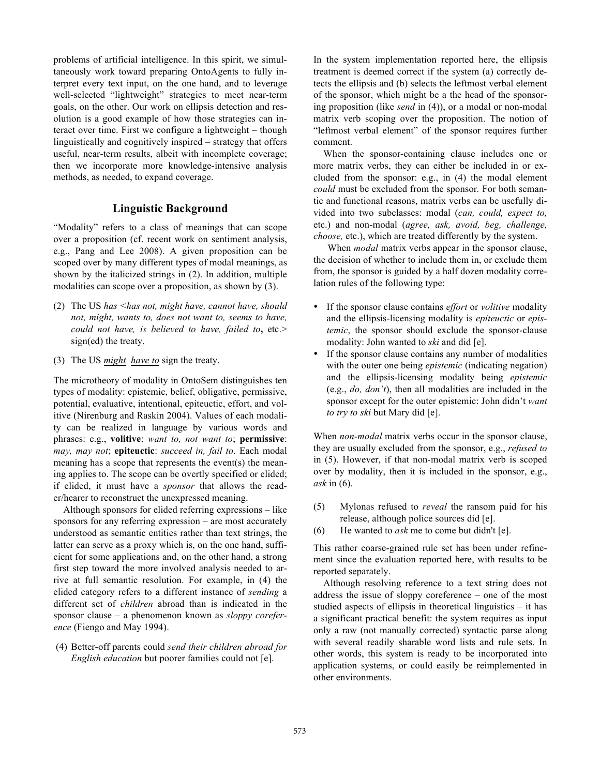problems of artificial intelligence. In this spirit, we simultaneously work toward preparing OntoAgents to fully interpret every text input, on the one hand, and to leverage well-selected "lightweight" strategies to meet near-term goals, on the other. Our work on ellipsis detection and resolution is a good example of how those strategies can interact over time. First we configure a lightweight – though linguistically and cognitively inspired – strategy that offers useful, near-term results, albeit with incomplete coverage; then we incorporate more knowledge-intensive analysis methods, as needed, to expand coverage.

# **Linguistic Background**

"Modality" refers to a class of meanings that can scope over a proposition (cf. recent work on sentiment analysis, e.g., Pang and Lee 2008). A given proposition can be scoped over by many different types of modal meanings, as shown by the italicized strings in (2). In addition, multiple modalities can scope over a proposition, as shown by (3).

- (2) The US *has <has not, might have, cannot have, should not, might, wants to, does not want to, seems to have, could not have, is believed to have, failed to***,** etc.> sign(ed) the treaty.
- (3) The US *might have to* sign the treaty.

The microtheory of modality in OntoSem distinguishes ten types of modality: epistemic, belief, obligative, permissive, potential, evaluative, intentional, epiteuctic, effort, and volitive (Nirenburg and Raskin 2004). Values of each modality can be realized in language by various words and phrases: e.g., **volitive**: *want to, not want to*; **permissive**: *may, may not*; **epiteuctic**: *succeed in, fail to*. Each modal meaning has a scope that represents the event(s) the meaning applies to. The scope can be overtly specified or elided; if elided, it must have a *sponsor* that allows the reader/hearer to reconstruct the unexpressed meaning.

Although sponsors for elided referring expressions – like sponsors for any referring expression – are most accurately understood as semantic entities rather than text strings, the latter can serve as a proxy which is, on the one hand, sufficient for some applications and, on the other hand, a strong first step toward the more involved analysis needed to arrive at full semantic resolution. For example, in (4) the elided category refers to a different instance of *sending* a different set of *children* abroad than is indicated in the sponsor clause – a phenomenon known as *sloppy coreference* (Fiengo and May 1994).

(4) Better-off parents could *send their children abroad for English education* but poorer families could not [e].

In the system implementation reported here, the ellipsis treatment is deemed correct if the system (a) correctly detects the ellipsis and (b) selects the leftmost verbal element of the sponsor, which might be a the head of the sponsoring proposition (like *send* in (4)), or a modal or non-modal matrix verb scoping over the proposition. The notion of "leftmost verbal element" of the sponsor requires further comment.

When the sponsor-containing clause includes one or more matrix verbs, they can either be included in or excluded from the sponsor: e.g., in (4) the modal element *could* must be excluded from the sponsor*.* For both semantic and functional reasons, matrix verbs can be usefully divided into two subclasses: modal (*can, could, expect to,* etc.) and non-modal (*agree, ask, avoid, beg, challenge, choose,* etc.), which are treated differently by the system.

When *modal* matrix verbs appear in the sponsor clause, the decision of whether to include them in, or exclude them from, the sponsor is guided by a half dozen modality correlation rules of the following type:

- If the sponsor clause contains *effort* or *volitive* modality and the ellipsis-licensing modality is *epiteuctic* or *epistemic*, the sponsor should exclude the sponsor-clause modality: John wanted to *ski* and did [e].
- If the sponsor clause contains any number of modalities with the outer one being *epistemic* (indicating negation) and the ellipsis-licensing modality being *epistemic*  (e.g., *do, don't*), then all modalities are included in the sponsor except for the outer epistemic: John didn't *want to try to ski* but Mary did [e].

When *non-modal* matrix verbs occur in the sponsor clause, they are usually excluded from the sponsor, e.g., *refused to*  in (5). However, if that non-modal matrix verb is scoped over by modality, then it is included in the sponsor, e.g., *ask* in (6).

- (5) Mylonas refused to *reveal* the ransom paid for his release, although police sources did [e].
- (6) He wanted to *ask* me to come but didn't [e].

This rather coarse-grained rule set has been under refinement since the evaluation reported here, with results to be reported separately.

Although resolving reference to a text string does not address the issue of sloppy coreference – one of the most studied aspects of ellipsis in theoretical linguistics – it has a significant practical benefit: the system requires as input only a raw (not manually corrected) syntactic parse along with several readily sharable word lists and rule sets. In other words, this system is ready to be incorporated into application systems, or could easily be reimplemented in other environments.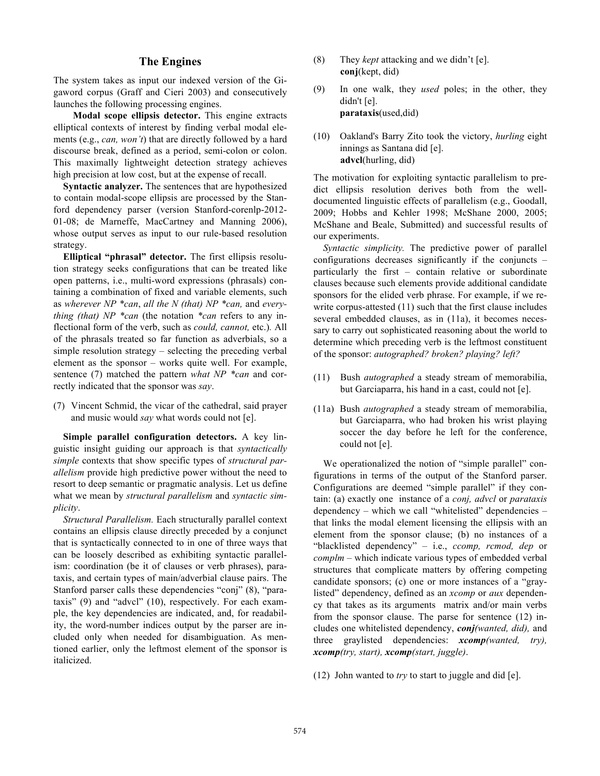# **The Engines**

The system takes as input our indexed version of the Gigaword corpus (Graff and Cieri 2003) and consecutively launches the following processing engines.

**Modal scope ellipsis detector.** This engine extracts elliptical contexts of interest by finding verbal modal elements (e.g., *can, won't*) that are directly followed by a hard discourse break, defined as a period, semi-colon or colon. This maximally lightweight detection strategy achieves high precision at low cost, but at the expense of recall.

**Syntactic analyzer.** The sentences that are hypothesized to contain modal-scope ellipsis are processed by the Stanford dependency parser (version Stanford-corenlp-2012- 01-08; de Marneffe, MacCartney and Manning 2006), whose output serves as input to our rule-based resolution strategy.

**Elliptical "phrasal" detector.** The first ellipsis resolution strategy seeks configurations that can be treated like open patterns, i.e., multi-word expressions (phrasals) containing a combination of fixed and variable elements, such as *wherever NP \*can*, *all the N (that) NP \*can,* and *everything (that) NP \*can* (the notation *\*can* refers to any inflectional form of the verb, such as *could, cannot,* etc.)*.* All of the phrasals treated so far function as adverbials, so a simple resolution strategy – selecting the preceding verbal element as the sponsor – works quite well. For example, sentence (7) matched the pattern *what NP \*can* and correctly indicated that the sponsor was *say*.

(7) Vincent Schmid, the vicar of the cathedral, said prayer and music would *say* what words could not [e].

**Simple parallel configuration detectors.** A key linguistic insight guiding our approach is that *syntactically simple* contexts that show specific types of *structural parallelism* provide high predictive power without the need to resort to deep semantic or pragmatic analysis. Let us define what we mean by *structural parallelism* and *syntactic simplicity*.

*Structural Parallelism.* Each structurally parallel context contains an ellipsis clause directly preceded by a conjunct that is syntactically connected to in one of three ways that can be loosely described as exhibiting syntactic parallelism: coordination (be it of clauses or verb phrases), parataxis, and certain types of main/adverbial clause pairs. The Stanford parser calls these dependencies "conj" (8), "parataxis" (9) and "advcl" (10), respectively. For each example, the key dependencies are indicated, and, for readability, the word-number indices output by the parser are included only when needed for disambiguation. As mentioned earlier, only the leftmost element of the sponsor is italicized.

- (8) They *kept* attacking and we didn't [e]. **conj**(kept, did)
- (9) In one walk, they *used* poles; in the other, they didn't [e]. **parataxis**(used,did)
- (10) Oakland's Barry Zito took the victory, *hurling* eight innings as Santana did [e]. **advcl**(hurling, did)

The motivation for exploiting syntactic parallelism to predict ellipsis resolution derives both from the welldocumented linguistic effects of parallelism (e.g., Goodall, 2009; Hobbs and Kehler 1998; McShane 2000, 2005; McShane and Beale, Submitted) and successful results of our experiments.

*Syntactic simplicity.* The predictive power of parallel configurations decreases significantly if the conjuncts – particularly the first – contain relative or subordinate clauses because such elements provide additional candidate sponsors for the elided verb phrase. For example, if we rewrite corpus-attested (11) such that the first clause includes several embedded clauses, as in (11a), it becomes necessary to carry out sophisticated reasoning about the world to determine which preceding verb is the leftmost constituent of the sponsor: *autographed? broken? playing? left?* 

- (11) Bush *autographed* a steady stream of memorabilia, but Garciaparra, his hand in a cast, could not [e].
- (11a) Bush *autographed* a steady stream of memorabilia, but Garciaparra, who had broken his wrist playing soccer the day before he left for the conference, could not [e].

We operationalized the notion of "simple parallel" configurations in terms of the output of the Stanford parser. Configurations are deemed "simple parallel" if they contain: (a) exactly one instance of a *conj, advcl* or *parataxis*  dependency – which we call "whitelisted" dependencies – that links the modal element licensing the ellipsis with an element from the sponsor clause; (b) no instances of a "blacklisted dependency" – i.e., *ccomp, rcmod, dep* or *complm –* which indicate various types of embedded verbal structures that complicate matters by offering competing candidate sponsors; (c) one or more instances of a "graylisted" dependency, defined as an *xcomp* or *aux* dependency that takes as its arguments matrix and/or main verbs from the sponsor clause. The parse for sentence (12) includes one whitelisted dependency, *conj(wanted, did),* and three graylisted dependencies: *xcomp(wanted, try), xcomp(try, start), xcomp(start, juggle)*.

(12) John wanted to *try* to start to juggle and did [e].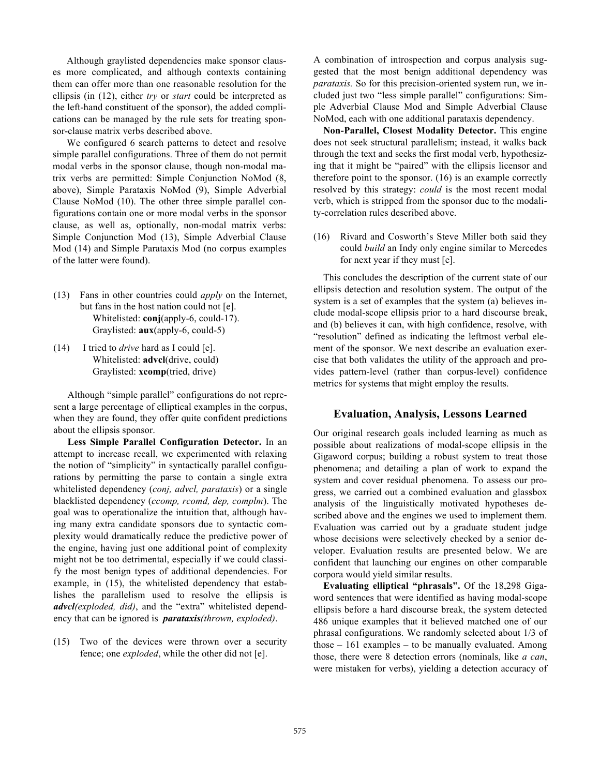Although graylisted dependencies make sponsor clauses more complicated, and although contexts containing them can offer more than one reasonable resolution for the ellipsis (in (12), either *try* or *start* could be interpreted as the left-hand constituent of the sponsor), the added complications can be managed by the rule sets for treating sponsor-clause matrix verbs described above.

We configured 6 search patterns to detect and resolve simple parallel configurations. Three of them do not permit modal verbs in the sponsor clause, though non-modal matrix verbs are permitted: Simple Conjunction NoMod (8, above), Simple Parataxis NoMod (9), Simple Adverbial Clause NoMod (10). The other three simple parallel configurations contain one or more modal verbs in the sponsor clause, as well as, optionally, non-modal matrix verbs: Simple Conjunction Mod (13), Simple Adverbial Clause Mod (14) and Simple Parataxis Mod (no corpus examples of the latter were found).

- (13) Fans in other countries could *apply* on the Internet, but fans in the host nation could not [e]. Whitelisted: **conj**(apply-6, could-17). Graylisted: **aux**(apply-6, could-5)
- (14) I tried to *drive* hard as I could [e]. Whitelisted: **advcl**(drive, could) Graylisted: **xcomp**(tried, drive)

Although "simple parallel" configurations do not represent a large percentage of elliptical examples in the corpus, when they are found, they offer quite confident predictions about the ellipsis sponsor.

**Less Simple Parallel Configuration Detector.** In an attempt to increase recall, we experimented with relaxing the notion of "simplicity" in syntactically parallel configurations by permitting the parse to contain a single extra whitelisted dependency (*conj, advcl, parataxis*) or a single blacklisted dependency (*ccomp, rcomd, dep, complm*). The goal was to operationalize the intuition that, although having many extra candidate sponsors due to syntactic complexity would dramatically reduce the predictive power of the engine, having just one additional point of complexity might not be too detrimental, especially if we could classify the most benign types of additional dependencies. For example, in (15), the whitelisted dependency that establishes the parallelism used to resolve the ellipsis is *advcl(exploded, did)*, and the "extra" whitelisted dependency that can be ignored is *parataxis(thrown, exploded)*.

(15) Two of the devices were thrown over a security fence; one *exploded*, while the other did not [e].

A combination of introspection and corpus analysis suggested that the most benign additional dependency was *parataxis.* So for this precision-oriented system run, we included just two "less simple parallel" configurations: Simple Adverbial Clause Mod and Simple Adverbial Clause NoMod, each with one additional parataxis dependency.

**Non-Parallel, Closest Modality Detector.** This engine does not seek structural parallelism; instead, it walks back through the text and seeks the first modal verb, hypothesizing that it might be "paired" with the ellipsis licensor and therefore point to the sponsor. (16) is an example correctly resolved by this strategy: *could* is the most recent modal verb, which is stripped from the sponsor due to the modality-correlation rules described above.

(16) Rivard and Cosworth's Steve Miller both said they could *build* an Indy only engine similar to Mercedes for next year if they must [e].

This concludes the description of the current state of our ellipsis detection and resolution system. The output of the system is a set of examples that the system (a) believes include modal-scope ellipsis prior to a hard discourse break, and (b) believes it can, with high confidence, resolve, with "resolution" defined as indicating the leftmost verbal element of the sponsor. We next describe an evaluation exercise that both validates the utility of the approach and provides pattern-level (rather than corpus-level) confidence metrics for systems that might employ the results.

# **Evaluation, Analysis, Lessons Learned**

Our original research goals included learning as much as possible about realizations of modal-scope ellipsis in the Gigaword corpus; building a robust system to treat those phenomena; and detailing a plan of work to expand the system and cover residual phenomena. To assess our progress, we carried out a combined evaluation and glassbox analysis of the linguistically motivated hypotheses described above and the engines we used to implement them. Evaluation was carried out by a graduate student judge whose decisions were selectively checked by a senior developer. Evaluation results are presented below. We are confident that launching our engines on other comparable corpora would yield similar results.

**Evaluating elliptical "phrasals".** Of the 18,298 Gigaword sentences that were identified as having modal-scope ellipsis before a hard discourse break, the system detected 486 unique examples that it believed matched one of our phrasal configurations. We randomly selected about 1/3 of those – 161 examples – to be manually evaluated. Among those, there were 8 detection errors (nominals, like *a can*, were mistaken for verbs), yielding a detection accuracy of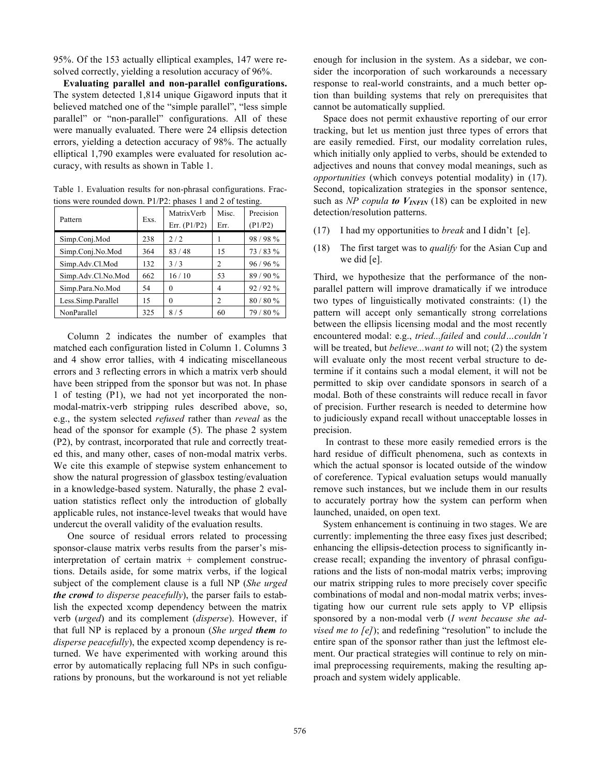95%. Of the 153 actually elliptical examples, 147 were resolved correctly, yielding a resolution accuracy of 96%.

**Evaluating parallel and non-parallel configurations.**  The system detected 1,814 unique Gigaword inputs that it believed matched one of the "simple parallel", "less simple parallel" or "non-parallel" configurations. All of these were manually evaluated. There were 24 ellipsis detection errors, yielding a detection accuracy of 98%. The actually elliptical 1,790 examples were evaluated for resolution accuracy, with results as shown in Table 1.

Table 1. Evaluation results for non-phrasal configurations. Fractions were rounded down. P1/P2: phases 1 and 2 of testing.

| Pattern            | Exs. | MatrixVerb<br>Err. $(P1/P2)$ | Misc.<br>Err.  | Precision<br>(P1/P2) |
|--------------------|------|------------------------------|----------------|----------------------|
| Simp.Conj.Mod      | 238  | 2/2                          |                | 98/98%               |
| Simp.Conj.No.Mod   | 364  | 83/48                        | 15             | 73/83%               |
| Simp.Adv.Cl.Mod    | 132  | 3/3                          | $\overline{c}$ | 96/96%               |
| Simp.Adv.Cl.No.Mod | 662  | 16/10                        | 53             | 89/90%               |
| Simp.Para.No.Mod   | 54   | 0                            | 4              | 92/92%               |
| Less.Simp.Parallel | 15   | 0                            | $\overline{c}$ | 80/80%               |
| NonParallel        | 325  | 8/5                          | 60             | 79/80%               |

Column 2 indicates the number of examples that matched each configuration listed in Column 1. Columns 3 and 4 show error tallies, with 4 indicating miscellaneous errors and 3 reflecting errors in which a matrix verb should have been stripped from the sponsor but was not. In phase 1 of testing (P1), we had not yet incorporated the nonmodal-matrix-verb stripping rules described above, so, e.g., the system selected *refused* rather than *reveal* as the head of the sponsor for example (5). The phase 2 system (P2), by contrast, incorporated that rule and correctly treated this, and many other, cases of non-modal matrix verbs. We cite this example of stepwise system enhancement to show the natural progression of glassbox testing/evaluation in a knowledge-based system. Naturally, the phase 2 evaluation statistics reflect only the introduction of globally applicable rules, not instance-level tweaks that would have undercut the overall validity of the evaluation results.

One source of residual errors related to processing sponsor-clause matrix verbs results from the parser's misinterpretation of certain matrix  $+$  complement constructions. Details aside, for some matrix verbs, if the logical subject of the complement clause is a full NP (*She urged the crowd to disperse peacefully*), the parser fails to establish the expected xcomp dependency between the matrix verb (*urged*) and its complement (*disperse*). However, if that full NP is replaced by a pronoun (*She urged them to disperse peacefully*), the expected xcomp dependency is returned. We have experimented with working around this error by automatically replacing full NPs in such configurations by pronouns, but the workaround is not yet reliable enough for inclusion in the system. As a sidebar, we consider the incorporation of such workarounds a necessary response to real-world constraints, and a much better option than building systems that rely on prerequisites that cannot be automatically supplied.

Space does not permit exhaustive reporting of our error tracking, but let us mention just three types of errors that are easily remedied. First, our modality correlation rules, which initially only applied to verbs, should be extended to adjectives and nouns that convey modal meanings, such as *opportunities* (which conveys potential modality) in (17). Second, topicalization strategies in the sponsor sentence, such as *NP copula to*  $V_{INFIN}$  (18) can be exploited in new detection/resolution patterns.

- (17) I had my opportunities to *break* and I didn't [e].
- (18) The first target was to *qualify* for the Asian Cup and we did [e].

Third, we hypothesize that the performance of the nonparallel pattern will improve dramatically if we introduce two types of linguistically motivated constraints: (1) the pattern will accept only semantically strong correlations between the ellipsis licensing modal and the most recently encountered modal: e.g., *tried...failed* and *could…couldn't* will be treated, but *believe...want to* will not; (2) the system will evaluate only the most recent verbal structure to determine if it contains such a modal element, it will not be permitted to skip over candidate sponsors in search of a modal. Both of these constraints will reduce recall in favor of precision. Further research is needed to determine how to judiciously expand recall without unacceptable losses in precision.

In contrast to these more easily remedied errors is the hard residue of difficult phenomena, such as contexts in which the actual sponsor is located outside of the window of coreference. Typical evaluation setups would manually remove such instances, but we include them in our results to accurately portray how the system can perform when launched, unaided, on open text.

System enhancement is continuing in two stages. We are currently: implementing the three easy fixes just described; enhancing the ellipsis-detection process to significantly increase recall; expanding the inventory of phrasal configurations and the lists of non-modal matrix verbs; improving our matrix stripping rules to more precisely cover specific combinations of modal and non-modal matrix verbs; investigating how our current rule sets apply to VP ellipsis sponsored by a non-modal verb (*I went because she advised me to [e]*); and redefining "resolution" to include the entire span of the sponsor rather than just the leftmost element. Our practical strategies will continue to rely on minimal preprocessing requirements, making the resulting approach and system widely applicable.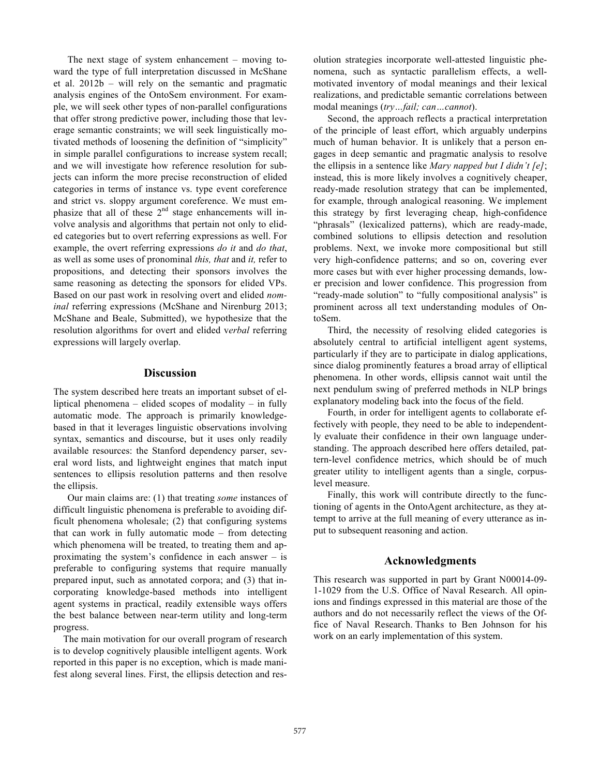The next stage of system enhancement – moving toward the type of full interpretation discussed in McShane et al. 2012b – will rely on the semantic and pragmatic analysis engines of the OntoSem environment. For example, we will seek other types of non-parallel configurations that offer strong predictive power, including those that leverage semantic constraints; we will seek linguistically motivated methods of loosening the definition of "simplicity" in simple parallel configurations to increase system recall; and we will investigate how reference resolution for subjects can inform the more precise reconstruction of elided categories in terms of instance vs. type event coreference and strict vs. sloppy argument coreference. We must emphasize that all of these  $2<sup>nd</sup>$  stage enhancements will involve analysis and algorithms that pertain not only to elided categories but to overt referring expressions as well. For example, the overt referring expressions *do it* and *do that*, as well as some uses of pronominal *this, that* and *it,* refer to propositions, and detecting their sponsors involves the same reasoning as detecting the sponsors for elided VPs. Based on our past work in resolving overt and elided *nominal* referring expressions (McShane and Nirenburg 2013; McShane and Beale, Submitted), we hypothesize that the resolution algorithms for overt and elided v*erbal* referring expressions will largely overlap.

#### **Discussion**

The system described here treats an important subset of elliptical phenomena – elided scopes of modality – in fully automatic mode. The approach is primarily knowledgebased in that it leverages linguistic observations involving syntax, semantics and discourse, but it uses only readily available resources: the Stanford dependency parser, several word lists, and lightweight engines that match input sentences to ellipsis resolution patterns and then resolve the ellipsis.

Our main claims are: (1) that treating *some* instances of difficult linguistic phenomena is preferable to avoiding difficult phenomena wholesale; (2) that configuring systems that can work in fully automatic mode – from detecting which phenomena will be treated, to treating them and approximating the system's confidence in each answer – is preferable to configuring systems that require manually prepared input, such as annotated corpora; and (3) that incorporating knowledge-based methods into intelligent agent systems in practical, readily extensible ways offers the best balance between near-term utility and long-term progress.

The main motivation for our overall program of research is to develop cognitively plausible intelligent agents. Work reported in this paper is no exception, which is made manifest along several lines. First, the ellipsis detection and res-

olution strategies incorporate well-attested linguistic phenomena, such as syntactic parallelism effects, a wellmotivated inventory of modal meanings and their lexical realizations, and predictable semantic correlations between modal meanings (*try…fail; can…cannot*).

Second, the approach reflects a practical interpretation of the principle of least effort, which arguably underpins much of human behavior. It is unlikely that a person engages in deep semantic and pragmatic analysis to resolve the ellipsis in a sentence like *Mary napped but I didn't [e]*; instead, this is more likely involves a cognitively cheaper, ready-made resolution strategy that can be implemented, for example, through analogical reasoning. We implement this strategy by first leveraging cheap, high-confidence "phrasals" (lexicalized patterns), which are ready-made, combined solutions to ellipsis detection and resolution problems. Next, we invoke more compositional but still very high-confidence patterns; and so on, covering ever more cases but with ever higher processing demands, lower precision and lower confidence. This progression from "ready-made solution" to "fully compositional analysis" is prominent across all text understanding modules of OntoSem.

Third, the necessity of resolving elided categories is absolutely central to artificial intelligent agent systems, particularly if they are to participate in dialog applications, since dialog prominently features a broad array of elliptical phenomena. In other words, ellipsis cannot wait until the next pendulum swing of preferred methods in NLP brings explanatory modeling back into the focus of the field.

Fourth, in order for intelligent agents to collaborate effectively with people, they need to be able to independently evaluate their confidence in their own language understanding. The approach described here offers detailed, pattern-level confidence metrics, which should be of much greater utility to intelligent agents than a single, corpuslevel measure.

Finally, this work will contribute directly to the functioning of agents in the OntoAgent architecture, as they attempt to arrive at the full meaning of every utterance as input to subsequent reasoning and action.

# **Acknowledgments**

This research was supported in part by Grant N00014-09- 1-1029 from the U.S. Office of Naval Research. All opinions and findings expressed in this material are those of the authors and do not necessarily reflect the views of the Office of Naval Research. Thanks to Ben Johnson for his work on an early implementation of this system.